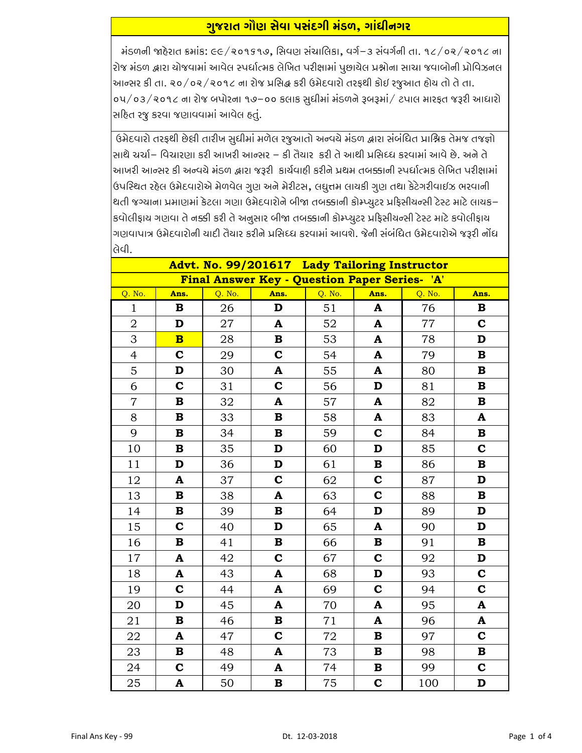## <u>ગુજરાત ગૌણ સેવા પસંદગી મંડળ, ગાંધીનગર</u>

મંડળની જાહેરાત ક્રમાંક: ૯૯/૨૦૧૬૧૭, સિવણ સંચાલિકા, વર્ગ-૩ સંવર્ગની તા. ૧૮/૦૨/૨૦૧૮ ના રોજ મંડળ દ્વારા ચોજવામાં આવેલ સ્પર્ધાત્મક લેખિત પરીક્ષામાં પુછાચેલ પ્રશ્નોના સાચા જવાબોની પ્રોવિઝનલ આન્સર કી તા. ૨૦/૦૨/૨૦૧૮ ના રોજ પ્રસિદ્ધ કરી ઉમેદવારો તરફથી કોઈ રજુઆત હોય તો તે તા. oપ/o3/૨૦૧૮ ના રોજ બપોરના ૧૭–૦૦ કલાક સુધીમાં મંડળને રૂબરૂમાં/ ટપાલ મારફત જરૂરી આધારો સહિત રજુ કરવા જણાવવામાં આવેલ હતું.

ઉમેદવારો તરફથી છેલી તારીખ સુધીમાં મળેલ રજુઆતો અન્વચે મંડળ દ્વારા સંબંધિત પ્રાશ્નિક તેમજ તજજ્ઞો સાથે ચર્ચા– વિચારણા કરી આખરી આન્સર – કી તૈયાર કરી તે આથી પ્રસિધ્ધ કરવામાં આવે છે. અને તે આખરી આન્સર કી અન્વયે મંડળ દ્વારા જરૂરી કાર્યવાહી કરીને પ્રથમ તબક્કાની સ્પર્ધાત્મક લેખિત પરીક્ષામાં ઉપસ્થિત રહેલ ઉમેદવારોએ મેળવેલ ગુણ અને મેરીટસ, લઘુત્તમ લાયકી ગુણ તથા કેટેગરીવાઈઝ ભરવાની થતી જગ્યાના પ્રમાણમાં કેટલા ગણા ઉમેદવારોને બીજા તબક્કાની કોમ્પ્યુટર પ્રફિસીચન્સી ટેસ્ટ માટે લાયક– કવોલીફાય ગણવા તે નક્કી કરી તે અનુસાર બીજા તબક્કાની કોમ્પ્યુટર પ્રફિસીયન્સી ટેસ્ટ માટે કવોલીફાય ગણવાપાત્ર ઉમેદવારોની ચાદી તૈયાર કરીને પ્રસિધ્ધ કરવામાં આવશે. જેની સંબંધિત ઉમેદવારોએ જરૂરી નોંધ ોલેવી.

| Advt. No. 99/201617 Lady Tailoring Instructor |                         |        |                           |        |              |        |                           |  |
|-----------------------------------------------|-------------------------|--------|---------------------------|--------|--------------|--------|---------------------------|--|
| Final Answer Key - Question Paper Series- 'A' |                         |        |                           |        |              |        |                           |  |
| Q. No.                                        | Ans.                    | Q. No. | Ans.                      | Q. No. | Ans.         | Q. No. | Ans.                      |  |
| $\mathbf{1}$                                  | B                       | 26     | D                         | 51     | A            | 76     | B                         |  |
| $\overline{2}$                                | D                       | 27     | A                         | 52     | A            | 77     | $\mathbf C$               |  |
| 3                                             | $\overline{\mathbf{B}}$ | 28     | В                         | 53     | $\mathbf{A}$ | 78     | $\mathbf D$               |  |
| $\overline{4}$                                | $\mathbf C$             | 29     | $\mathbf C$               | 54     | A            | 79     | $\, {\bf B}$              |  |
| 5                                             | D                       | 30     | $\boldsymbol{\mathsf{A}}$ | 55     | $\mathbf{A}$ | 80     | $\, {\bf B}$              |  |
| 6                                             | $\mathbf C$             | 31     | $\mathbf C$               | 56     | D            | 81     | $\, {\bf B}$              |  |
| $\overline{7}$                                | $\, {\bf B}$            | 32     | A                         | 57     | A            | 82     | $\, {\bf B}$              |  |
| 8                                             | $\mathbf B$             | 33     | $\, {\bf B}$              | 58     | $\mathbf{A}$ | 83     | $\boldsymbol{\mathsf{A}}$ |  |
| 9                                             | $\mathbf B$             | 34     | $\, {\bf B}$              | 59     | $\mathbf C$  | 84     | $\, {\bf B}$              |  |
| 10                                            | $\mathbf B$             | 35     | D                         | 60     | D            | 85     | $\mathbf C$               |  |
| 11                                            | $\mathbf D$             | 36     | $\mathbf D$               | 61     | $\bf{B}$     | 86     | $\, {\bf B}$              |  |
| 12                                            | A                       | 37     | $\mathbf C$               | 62     | $\mathbf C$  | 87     | $\mathbf D$               |  |
| 13                                            | $\mathbf B$             | 38     | A                         | 63     | $\mathbf C$  | 88     | $\, {\bf B}$              |  |
| 14                                            | $\mathbf B$             | 39     | В                         | 64     | D            | 89     | $\mathbf D$               |  |
| 15                                            | $\mathbf C$             | 40     | $\mathbf D$               | 65     | $\mathbf{A}$ | 90     | $\mathbf D$               |  |
| 16                                            | $\, {\bf B}$            | 41     | В                         | 66     | в            | 91     | $\, {\bf B}$              |  |
| 17                                            | A                       | 42     | $\mathbf C$               | 67     | $\mathbf C$  | 92     | $\mathbf D$               |  |
| 18                                            | $\mathbf{A}$            | 43     | $\mathbf{A}$              | 68     | D            | 93     | $\mathbf C$               |  |
| 19                                            | $\mathbf C$             | 44     | A                         | 69     | $\mathbf C$  | 94     | $\mathbf C$               |  |
| 20                                            | D                       | 45     | A                         | 70     | $\mathbf{A}$ | 95     | $\boldsymbol{\mathsf{A}}$ |  |
| 21                                            | $\bf{B}$                | 46     | $\mathbf B$               | 71     | A            | 96     | $\boldsymbol{\mathsf{A}}$ |  |
| 22                                            | A                       | 47     | $\mathbf c$               | 72     | B            | 97     | $\mathbf C$               |  |
| 23                                            | $\mathbf B$             | 48     | A                         | 73     | $\bf{B}$     | 98     | $\, {\bf B}$              |  |
| 24                                            | $\mathbf C$             | 49     | $\boldsymbol{\mathsf{A}}$ | 74     | $\bf{B}$     | 99     | $\mathbf C$               |  |
| 25                                            | A                       | 50     | В                         | 75     | $\mathbf C$  | 100    | $\mathbf D$               |  |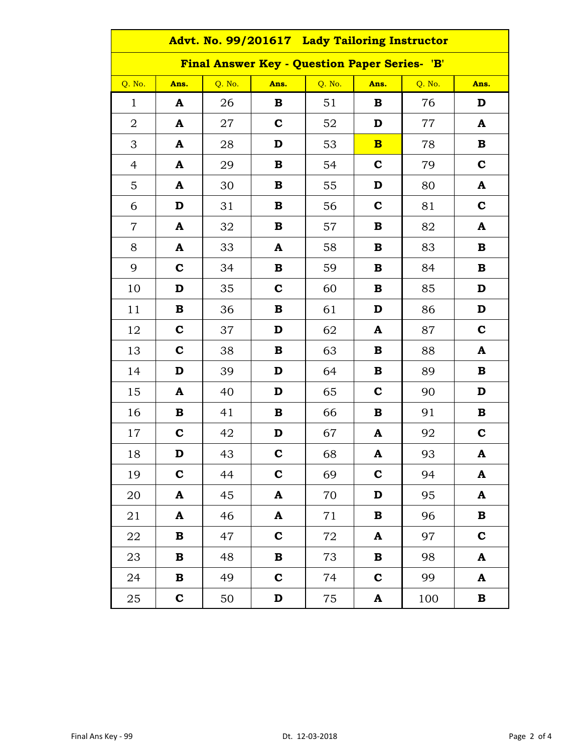| Advt. No. 99/201617 Lady Tailoring Instructor |              |        |              |        |              |        |              |  |
|-----------------------------------------------|--------------|--------|--------------|--------|--------------|--------|--------------|--|
| Final Answer Key - Question Paper Series- 'B' |              |        |              |        |              |        |              |  |
| Q. No.                                        | Ans.         | Q. No. | Ans.         | Q. No. | Ans.         | Q. No. | Ans.         |  |
| $\mathbf{1}$                                  | ${\bf A}$    | 26     | $\bf{B}$     | 51     | B            | 76     | D            |  |
| $\overline{2}$                                | A            | 27     | $\mathbf C$  | 52     | D            | $77\,$ | A            |  |
| 3                                             | $\mathbf{A}$ | 28     | D            | 53     | $\mathbf{B}$ | 78     | $\bf{B}$     |  |
| $\overline{4}$                                | $\mathbf{A}$ | 29     | B            | 54     | $\mathbf C$  | 79     | $\mathbf{C}$ |  |
| 5                                             | A            | 30     | $\mathbf B$  | 55     | D            | 80     | A            |  |
| 6                                             | D            | 31     | B            | 56     | $\mathbf C$  | 81     | $\mathbf C$  |  |
| $\overline{7}$                                | $\mathbf{A}$ | 32     | $\bf{B}$     | 57     | B            | 82     | A            |  |
| 8                                             | $\mathbf A$  | 33     | A            | 58     | B            | 83     | B            |  |
| 9                                             | $\mathbf C$  | 34     | $\bf{B}$     | 59     | $\bf{B}$     | 84     | $\bf{B}$     |  |
| 10                                            | D            | 35     | $\mathbf C$  | 60     | $\bf{B}$     | 85     | D            |  |
| 11                                            | $\bf{B}$     | 36     | $\mathbf B$  | 61     | D            | 86     | D            |  |
| 12                                            | $\mathbf C$  | 37     | D            | 62     | A            | 87     | $\mathbf c$  |  |
| 13                                            | $\mathbf C$  | 38     | B            | 63     | $\bf{B}$     | 88     | A            |  |
| 14                                            | D            | 39     | D            | 64     | $\bf{B}$     | 89     | $\bf{B}$     |  |
| 15                                            | A            | 40     | D            | 65     | $\mathbf C$  | 90     | D            |  |
| 16                                            | $\bf{B}$     | 41     | $\bf{B}$     | 66     | B            | 91     | B            |  |
| 17                                            | $\mathbf C$  | 42     | D            | 67     | A            | 92     | $\mathbf C$  |  |
| 18                                            | D            | 43     | $\mathbf c$  | 68     | A            | 93     | A            |  |
| 19                                            | $\mathbf C$  | 44     | $\mathbf c$  | 69     | $\mathbf c$  | 94     | A            |  |
| 20                                            | $\mathbf A$  | 45     | A            | 70     | D            | 95     | A            |  |
| 21                                            | $\mathbf A$  | 46     | A            | 71     | $\bf{B}$     | 96     | $\mathbf B$  |  |
| 22                                            | $\, {\bf B}$ | 47     | $\mathbf C$  | $72\,$ | A            | 97     | $\mathbf C$  |  |
| 23                                            | $\bf{B}$     | 48     | $\, {\bf B}$ | 73     | $\, {\bf B}$ | 98     | A            |  |
| 24                                            | $\bf{B}$     | 49     | $\mathbf C$  | 74     | $\mathbf C$  | 99     | ${\bf A}$    |  |
| 25                                            | $\mathbf C$  | 50     | D            | 75     | A            | 100    | $\bf{B}$     |  |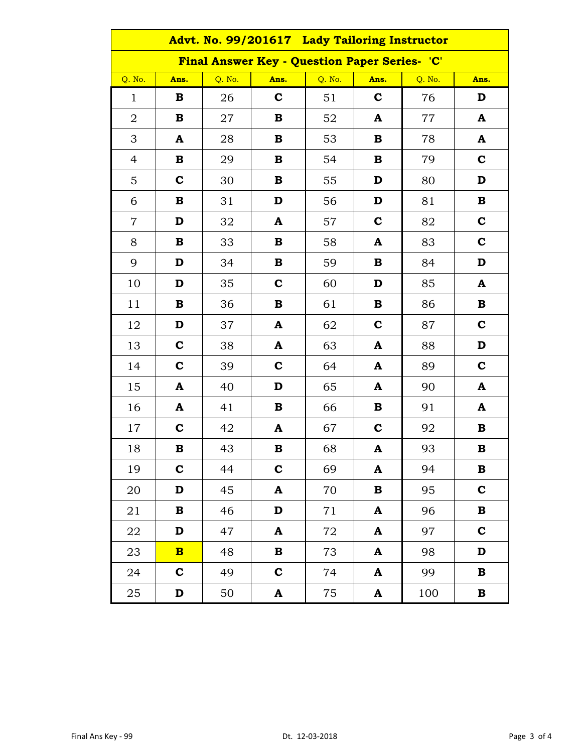| Advt. No. 99/201617 Lady Tailoring Instructor |                         |        |              |        |              |        |              |  |
|-----------------------------------------------|-------------------------|--------|--------------|--------|--------------|--------|--------------|--|
| Final Answer Key - Question Paper Series- 'C' |                         |        |              |        |              |        |              |  |
| Q. No.                                        | Ans.                    | Q. No. | Ans.         | Q. No. | Ans.         | Q. No. | Ans.         |  |
| $\mathbf{1}$                                  | B                       | 26     | $\mathbf c$  | 51     | $\mathbf C$  | 76     | D            |  |
| $\overline{2}$                                | $\bf{B}$                | 27     | $\bf{B}$     | 52     | A            | 77     | A            |  |
| 3                                             | A                       | 28     | $\bf{B}$     | 53     | $\, {\bf B}$ | 78     | A            |  |
| $\overline{4}$                                | $\, {\bf B}$            | 29     | $\bf{B}$     | 54     | $\bf{B}$     | 79     | $\mathbf C$  |  |
| 5                                             | $\mathbf C$             | 30     | $\bf{B}$     | 55     | D            | 80     | $\mathbf D$  |  |
| 6                                             | $\bf{B}$                | 31     | D            | 56     | D            | 81     | $\bf{B}$     |  |
| $\overline{7}$                                | D                       | 32     | A            | 57     | $\mathbf C$  | 82     | $\mathbf C$  |  |
| 8                                             | $\bf{B}$                | 33     | $\, {\bf B}$ | 58     | A            | 83     | $\mathbf C$  |  |
| 9                                             | D                       | 34     | $\bf{B}$     | 59     | B            | 84     | D            |  |
| 10                                            | D                       | 35     | $\mathbf C$  | 60     | D            | 85     | A            |  |
| 11                                            | $\bf{B}$                | 36     | $\bf{B}$     | 61     | B            | 86     | $\bf{B}$     |  |
| 12                                            | D                       | 37     | $\mathbf{A}$ | 62     | $\mathbf C$  | 87     | $\mathbf C$  |  |
| 13                                            | $\mathbf c$             | 38     | A            | 63     | A            | 88     | $\mathbf D$  |  |
| 14                                            | $\mathbf C$             | 39     | $\mathbf C$  | 64     | A            | 89     | $\mathbf C$  |  |
| 15                                            | $\mathbf{A}$            | 40     | D            | 65     | A            | 90     | A            |  |
| 16                                            | $\mathbf{A}$            | 41     | $\bf{B}$     | 66     | $\, {\bf B}$ | 91     | A            |  |
| 17                                            | $\mathbf C$             | 42     | $\mathbf{A}$ | 67     | $\mathbf c$  | 92     | $\bf{B}$     |  |
| 18                                            | $\bf{B}$                | 43     | $\bf{B}$     | 68     | A            | 93     | $\bf{B}$     |  |
| 19                                            | $\mathbf C$             | 44     | $\mathbf C$  | 69     | A            | 94     | В            |  |
| 20                                            | D                       | 45     | A            | 70     | $\bf{B}$     | 95     | $\mathbf C$  |  |
| 21                                            | $\bf{B}$                | 46     | $\mathbf D$  | 71     | A            | 96     | $\, {\bf B}$ |  |
| 22                                            | D                       | 47     | $\mathbf A$  | 72     | ${\bf A}$    | 97     | $\mathbf C$  |  |
| 23                                            | $\overline{\mathbf{B}}$ | 48     | $\, {\bf B}$ | 73     | A            | 98     | D            |  |
| 24                                            | $\mathbf C$             | 49     | $\mathbf C$  | 74     | A            | 99     | $\mathbf B$  |  |
| 25                                            | D                       | 50     | A            | 75     | A            | 100    | $\, {\bf B}$ |  |